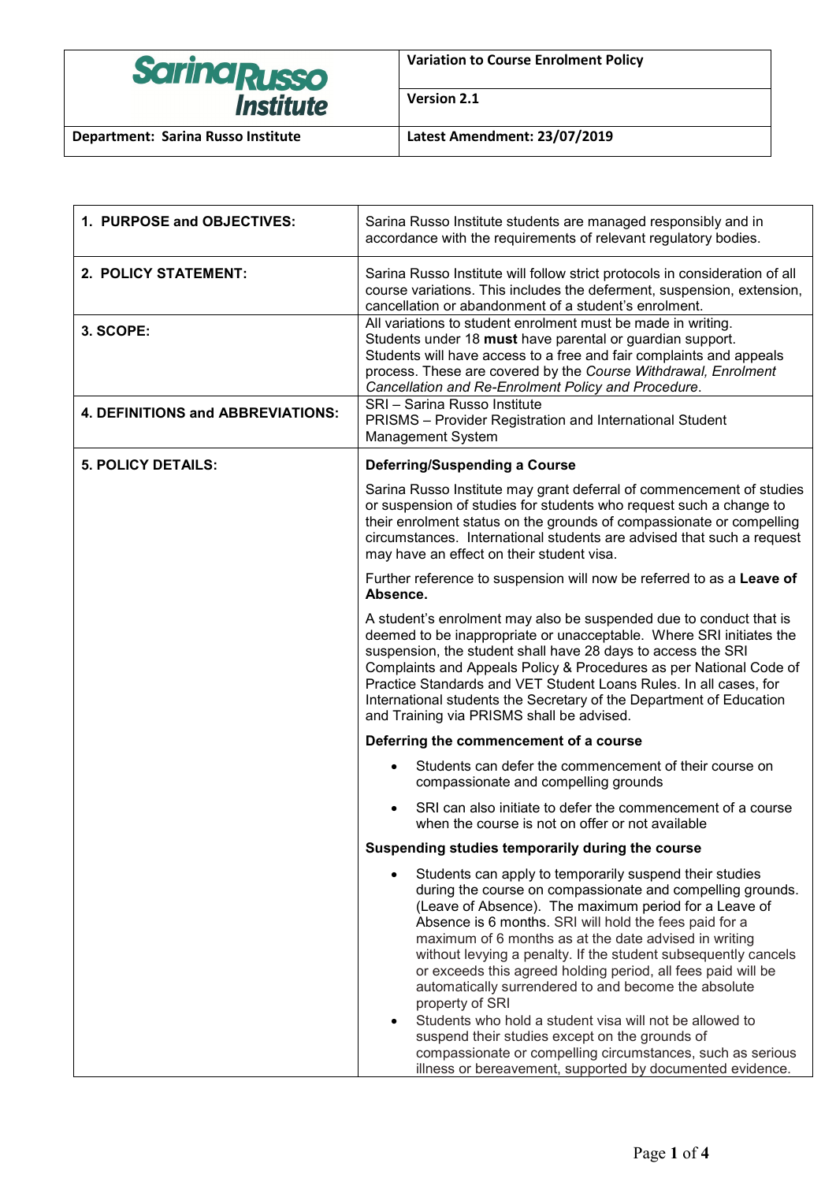

**Variation to Course Enrolment Policy**

**Version 2.1**

| 1. PURPOSE and OBJECTIVES:        | Sarina Russo Institute students are managed responsibly and in<br>accordance with the requirements of relevant regulatory bodies.                                                                                                                                                                                                                                                                                                                                                                                                                                                                                                                                                                                                                                                |
|-----------------------------------|----------------------------------------------------------------------------------------------------------------------------------------------------------------------------------------------------------------------------------------------------------------------------------------------------------------------------------------------------------------------------------------------------------------------------------------------------------------------------------------------------------------------------------------------------------------------------------------------------------------------------------------------------------------------------------------------------------------------------------------------------------------------------------|
| 2. POLICY STATEMENT:              | Sarina Russo Institute will follow strict protocols in consideration of all<br>course variations. This includes the deferment, suspension, extension,<br>cancellation or abandonment of a student's enrolment.                                                                                                                                                                                                                                                                                                                                                                                                                                                                                                                                                                   |
| 3. SCOPE:                         | All variations to student enrolment must be made in writing.<br>Students under 18 must have parental or guardian support.<br>Students will have access to a free and fair complaints and appeals<br>process. These are covered by the Course Withdrawal, Enrolment<br>Cancellation and Re-Enrolment Policy and Procedure.                                                                                                                                                                                                                                                                                                                                                                                                                                                        |
| 4. DEFINITIONS and ABBREVIATIONS: | SRI - Sarina Russo Institute<br>PRISMS - Provider Registration and International Student<br><b>Management System</b>                                                                                                                                                                                                                                                                                                                                                                                                                                                                                                                                                                                                                                                             |
| <b>5. POLICY DETAILS:</b>         | <b>Deferring/Suspending a Course</b>                                                                                                                                                                                                                                                                                                                                                                                                                                                                                                                                                                                                                                                                                                                                             |
|                                   | Sarina Russo Institute may grant deferral of commencement of studies<br>or suspension of studies for students who request such a change to<br>their enrolment status on the grounds of compassionate or compelling<br>circumstances. International students are advised that such a request<br>may have an effect on their student visa.                                                                                                                                                                                                                                                                                                                                                                                                                                         |
|                                   | Further reference to suspension will now be referred to as a Leave of<br>Absence.                                                                                                                                                                                                                                                                                                                                                                                                                                                                                                                                                                                                                                                                                                |
|                                   | A student's enrolment may also be suspended due to conduct that is<br>deemed to be inappropriate or unacceptable. Where SRI initiates the<br>suspension, the student shall have 28 days to access the SRI<br>Complaints and Appeals Policy & Procedures as per National Code of<br>Practice Standards and VET Student Loans Rules. In all cases, for<br>International students the Secretary of the Department of Education<br>and Training via PRISMS shall be advised.                                                                                                                                                                                                                                                                                                         |
|                                   | Deferring the commencement of a course                                                                                                                                                                                                                                                                                                                                                                                                                                                                                                                                                                                                                                                                                                                                           |
|                                   | Students can defer the commencement of their course on<br>compassionate and compelling grounds                                                                                                                                                                                                                                                                                                                                                                                                                                                                                                                                                                                                                                                                                   |
|                                   | SRI can also initiate to defer the commencement of a course<br>when the course is not on offer or not available                                                                                                                                                                                                                                                                                                                                                                                                                                                                                                                                                                                                                                                                  |
|                                   | Suspending studies temporarily during the course                                                                                                                                                                                                                                                                                                                                                                                                                                                                                                                                                                                                                                                                                                                                 |
|                                   | Students can apply to temporarily suspend their studies<br>$\bullet$<br>during the course on compassionate and compelling grounds.<br>(Leave of Absence). The maximum period for a Leave of<br>Absence is 6 months. SRI will hold the fees paid for a<br>maximum of 6 months as at the date advised in writing<br>without levying a penalty. If the student subsequently cancels<br>or exceeds this agreed holding period, all fees paid will be<br>automatically surrendered to and become the absolute<br>property of SRI<br>Students who hold a student visa will not be allowed to<br>$\bullet$<br>suspend their studies except on the grounds of<br>compassionate or compelling circumstances, such as serious<br>illness or bereavement, supported by documented evidence. |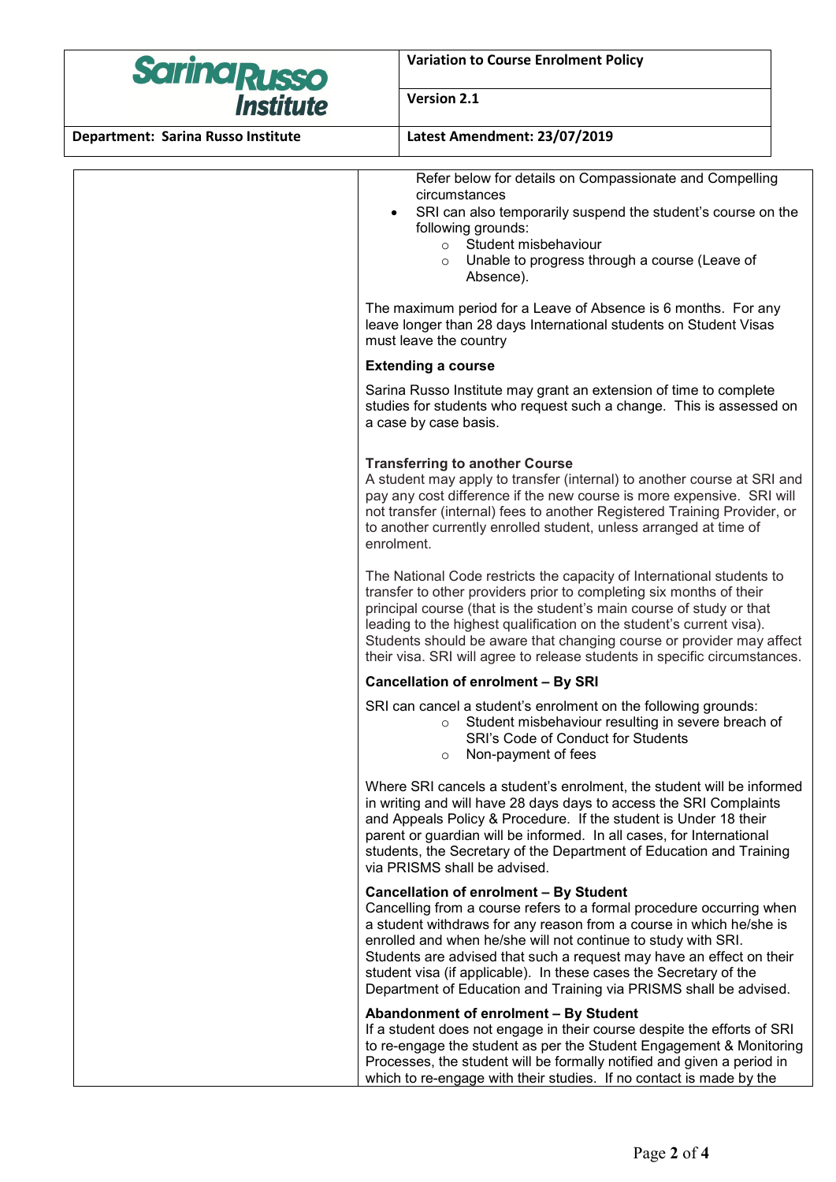

**Variation to Course Enrolment Policy**

# **Version 2.1**

**Department: Sarina Russo Institute Latest Amendment: 23/07/2019**

Refer below for details on Compassionate and Compelling circumstances

- SRI can also temporarily suspend the student's course on the following grounds:
	- o Student misbehaviour
	- o Unable to progress through a course (Leave of Absence).

The maximum period for a Leave of Absence is 6 months. For any leave longer than 28 days International students on Student Visas must leave the country

### **Extending a course**

Sarina Russo Institute may grant an extension of time to complete studies for students who request such a change. This is assessed on a case by case basis.

## **Transferring to another Course**

A student may apply to transfer (internal) to another course at SRI and pay any cost difference if the new course is more expensive. SRI will not transfer (internal) fees to another Registered Training Provider, or to another currently enrolled student, unless arranged at time of enrolment.

The National Code restricts the capacity of International students to transfer to other providers prior to completing six months of their principal course (that is the student's main course of study or that leading to the highest qualification on the student's current visa). Students should be aware that changing course or provider may affect their visa. SRI will agree to release students in specific circumstances.

## **Cancellation of enrolment – By SRI**

SRI can cancel a student's enrolment on the following grounds:

- o Student misbehaviour resulting in severe breach of SRI's Code of Conduct for Students
- o Non-payment of fees

Where SRI cancels a student's enrolment, the student will be informed in writing and will have 28 days days to access the SRI Complaints and Appeals Policy & Procedure. If the student is Under 18 their parent or guardian will be informed. In all cases, for International students, the Secretary of the Department of Education and Training via PRISMS shall be advised.

#### **Cancellation of enrolment – By Student**

Cancelling from a course refers to a formal procedure occurring when a student withdraws for any reason from a course in which he/she is enrolled and when he/she will not continue to study with SRI. Students are advised that such a request may have an effect on their student visa (if applicable). In these cases the Secretary of the Department of Education and Training via PRISMS shall be advised.

#### **Abandonment of enrolment – By Student**

If a student does not engage in their course despite the efforts of SRI to re-engage the student as per the Student Engagement & Monitoring Processes, the student will be formally notified and given a period in which to re-engage with their studies. If no contact is made by the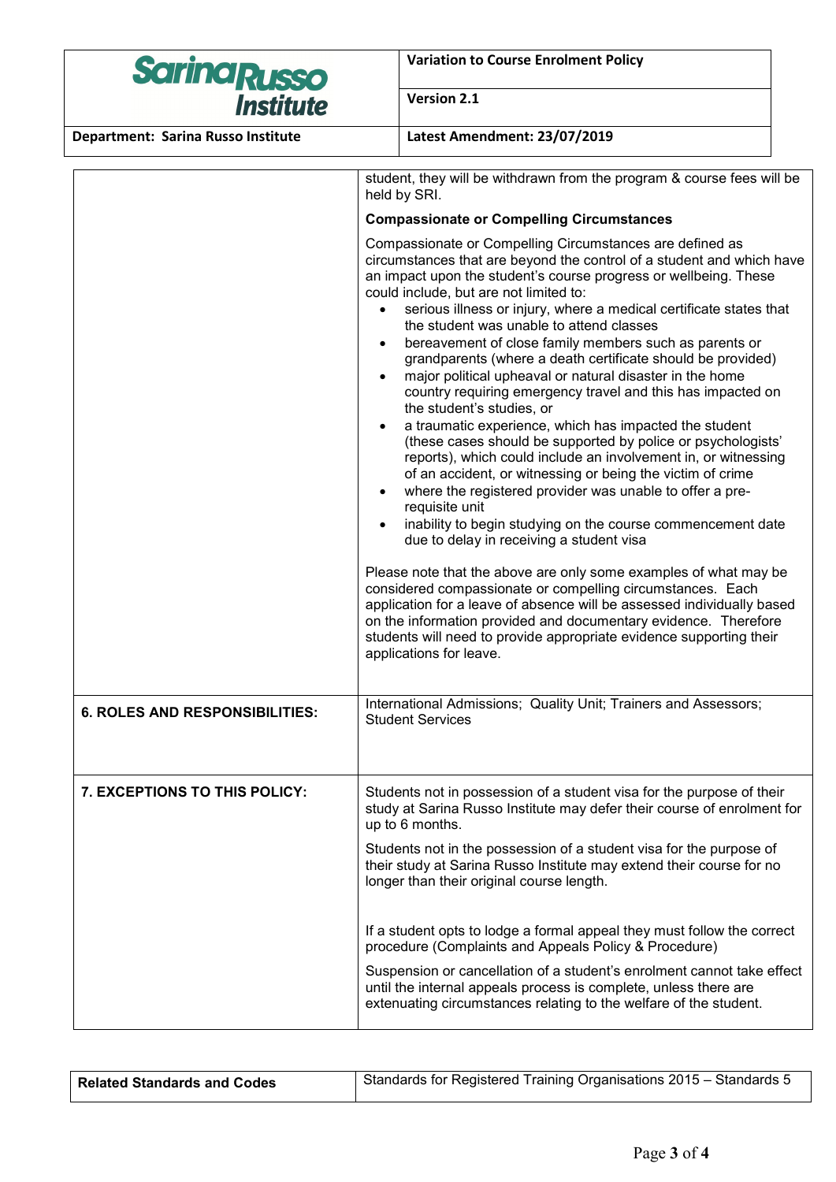| <b>Sarina Russo</b>                                                           | <b>Variation to Course Enrolment Policy</b>                                                                                                                                                                                                                                                                                                                                                                                                                                                                                                                                                                                                                                                                                                                                                                                                                                                                                                                                                                                                                                                                                                                                                                                                                                                                                                                                                                                                                                                                                                                                                                                                                                                                                                    |  |
|-------------------------------------------------------------------------------|------------------------------------------------------------------------------------------------------------------------------------------------------------------------------------------------------------------------------------------------------------------------------------------------------------------------------------------------------------------------------------------------------------------------------------------------------------------------------------------------------------------------------------------------------------------------------------------------------------------------------------------------------------------------------------------------------------------------------------------------------------------------------------------------------------------------------------------------------------------------------------------------------------------------------------------------------------------------------------------------------------------------------------------------------------------------------------------------------------------------------------------------------------------------------------------------------------------------------------------------------------------------------------------------------------------------------------------------------------------------------------------------------------------------------------------------------------------------------------------------------------------------------------------------------------------------------------------------------------------------------------------------------------------------------------------------------------------------------------------------|--|
| <b>Institute</b>                                                              | Version 2.1                                                                                                                                                                                                                                                                                                                                                                                                                                                                                                                                                                                                                                                                                                                                                                                                                                                                                                                                                                                                                                                                                                                                                                                                                                                                                                                                                                                                                                                                                                                                                                                                                                                                                                                                    |  |
| Department: Sarina Russo Institute                                            | Latest Amendment: 23/07/2019                                                                                                                                                                                                                                                                                                                                                                                                                                                                                                                                                                                                                                                                                                                                                                                                                                                                                                                                                                                                                                                                                                                                                                                                                                                                                                                                                                                                                                                                                                                                                                                                                                                                                                                   |  |
|                                                                               | student, they will be withdrawn from the program & course fees will be<br>held by SRI.<br><b>Compassionate or Compelling Circumstances</b><br>Compassionate or Compelling Circumstances are defined as<br>circumstances that are beyond the control of a student and which have<br>an impact upon the student's course progress or wellbeing. These<br>could include, but are not limited to:<br>serious illness or injury, where a medical certificate states that<br>the student was unable to attend classes<br>bereavement of close family members such as parents or<br>$\bullet$<br>grandparents (where a death certificate should be provided)<br>major political upheaval or natural disaster in the home<br>country requiring emergency travel and this has impacted on<br>the student's studies, or<br>a traumatic experience, which has impacted the student<br>(these cases should be supported by police or psychologists'<br>reports), which could include an involvement in, or witnessing<br>of an accident, or witnessing or being the victim of crime<br>where the registered provider was unable to offer a pre-<br>$\bullet$<br>requisite unit<br>inability to begin studying on the course commencement date<br>$\bullet$<br>due to delay in receiving a student visa<br>Please note that the above are only some examples of what may be<br>considered compassionate or compelling circumstances. Each<br>application for a leave of absence will be assessed individually based<br>on the information provided and documentary evidence. Therefore<br>students will need to provide appropriate evidence supporting their<br>applications for leave.<br>International Admissions; Quality Unit; Trainers and Assessors; |  |
| <b>6. ROLES AND RESPONSIBILITIES:</b><br><b>7. EXCEPTIONS TO THIS POLICY:</b> | <b>Student Services</b><br>Students not in possession of a student visa for the purpose of their<br>study at Sarina Russo Institute may defer their course of enrolment for                                                                                                                                                                                                                                                                                                                                                                                                                                                                                                                                                                                                                                                                                                                                                                                                                                                                                                                                                                                                                                                                                                                                                                                                                                                                                                                                                                                                                                                                                                                                                                    |  |
|                                                                               | up to 6 months.<br>Students not in the possession of a student visa for the purpose of<br>their study at Sarina Russo Institute may extend their course for no<br>longer than their original course length.                                                                                                                                                                                                                                                                                                                                                                                                                                                                                                                                                                                                                                                                                                                                                                                                                                                                                                                                                                                                                                                                                                                                                                                                                                                                                                                                                                                                                                                                                                                                    |  |
|                                                                               | If a student opts to lodge a formal appeal they must follow the correct<br>procedure (Complaints and Appeals Policy & Procedure)                                                                                                                                                                                                                                                                                                                                                                                                                                                                                                                                                                                                                                                                                                                                                                                                                                                                                                                                                                                                                                                                                                                                                                                                                                                                                                                                                                                                                                                                                                                                                                                                               |  |
|                                                                               | Suspension or cancellation of a student's enrolment cannot take effect                                                                                                                                                                                                                                                                                                                                                                                                                                                                                                                                                                                                                                                                                                                                                                                                                                                                                                                                                                                                                                                                                                                                                                                                                                                                                                                                                                                                                                                                                                                                                                                                                                                                         |  |

Related Standards and Codes **Standards for Registered Training Organisations 2015** – Standards 5

until the internal appeals process is complete, unless there are extenuating circumstances relating to the welfare of the student.